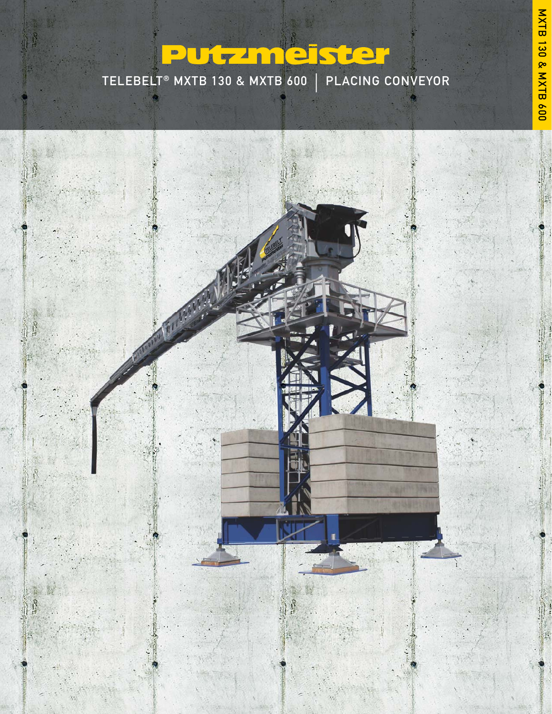## utzmeister  $\blacksquare$

TELEBELT® MXTB 130 & MXTB 600 | PLACING CONVEYOR